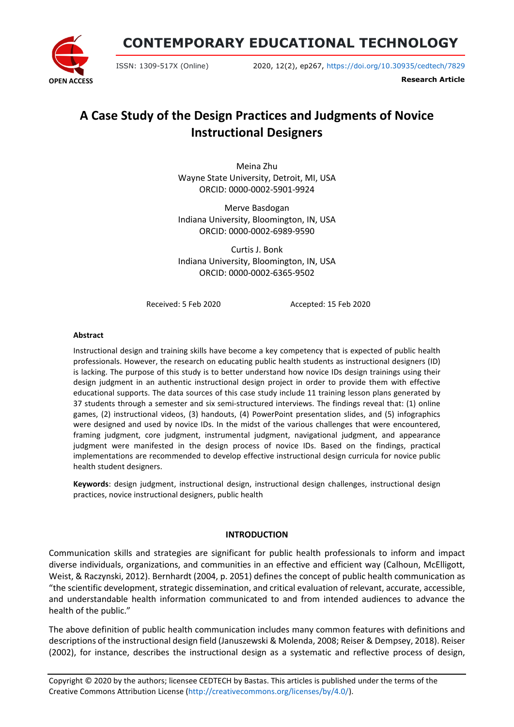**CONTEMPORARY EDUCATIONAL TECHNOLOGY**



ISSN: 1309-517X (Online) 2020, 12(2), ep267, <https://doi.org/10.30935/cedtech/7829>

**Research Article**

# **A Case Study of the Design Practices and Judgments of Novice Instructional Designers**

Meina Zhu Wayne State University, Detroit, MI, USA ORCID: 0000-0002-5901-9924

Merve Basdogan Indiana University, Bloomington, IN, USA ORCID: 0000-0002-6989-9590

Curtis J. Bonk Indiana University, Bloomington, IN, USA ORCID: 0000-0002-6365-9502

Received: 5 Feb 2020 Accepted: 15 Feb 2020

#### **Abstract**

Instructional design and training skills have become a key competency that is expected of public health professionals. However, the research on educating public health students as instructional designers (ID) is lacking. The purpose of this study is to better understand how novice IDs design trainings using their design judgment in an authentic instructional design project in order to provide them with effective educational supports. The data sources of this case study include 11 training lesson plans generated by 37 students through a semester and six semi-structured interviews. The findings reveal that: (1) online games, (2) instructional videos, (3) handouts, (4) PowerPoint presentation slides, and (5) infographics were designed and used by novice IDs. In the midst of the various challenges that were encountered, framing judgment, core judgment, instrumental judgment, navigational judgment, and appearance judgment were manifested in the design process of novice IDs. Based on the findings, practical implementations are recommended to develop effective instructional design curricula for novice public health student designers.

**Keywords**: design judgment, instructional design, instructional design challenges, instructional design practices, novice instructional designers, public health

#### **INTRODUCTION**

Communication skills and strategies are significant for public health professionals to inform and impact diverse individuals, organizations, and communities in an effective and efficient way (Calhoun, McElligott, Weist, & Raczynski, 2012). Bernhardt (2004, p. 2051) defines the concept of public health communication as "the scientific development, strategic dissemination, and critical evaluation of relevant, accurate, accessible, and understandable health information communicated to and from intended audiences to advance the health of the public."

The above definition of public health communication includes many common features with definitions and descriptions of the instructional design field (Januszewski & Molenda, 2008; Reiser & Dempsey, 2018). Reiser (2002), for instance, describes the instructional design as a systematic and reflective process of design,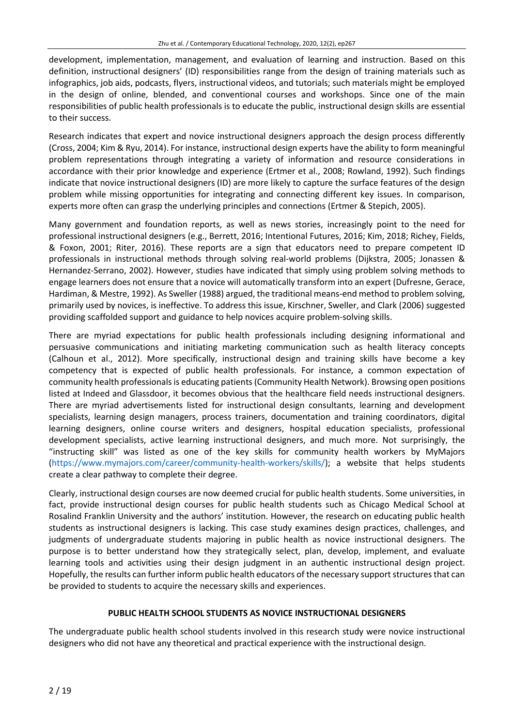development, implementation, management, and evaluation of learning and instruction. Based on this definition, instructional designers' (ID) responsibilities range from the design of training materials such as infographics, job aids, podcasts, flyers, instructional videos, and tutorials; such materials might be employed in the design of online, blended, and conventional courses and workshops. Since one of the main responsibilities of public health professionals is to educate the public, instructional design skills are essential to their success.

Research indicates that expert and novice instructional designers approach the design process differently (Cross, 2004; Kim & Ryu, 2014). For instance, instructional design experts have the ability to form meaningful problem representations through integrating a variety of information and resource considerations in accordance with their prior knowledge and experience (Ertmer et al., 2008; Rowland, 1992). Such findings indicate that novice instructional designers (ID) are more likely to capture the surface features of the design problem while missing opportunities for integrating and connecting different key issues. In comparison, experts more often can grasp the underlying principles and connections (Ertmer & Stepich, 2005).

Many government and foundation reports, as well as news stories, increasingly point to the need for professional instructional designers (e.g., Berrett, 2016; Intentional Futures, 2016; Kim, 2018; Richey, Fields, & Foxon, 2001; Riter, 2016). These reports are a sign that educators need to prepare competent ID professionals in instructional methods through solving real-world problems (Dijkstra, 2005; Jonassen & Hernandez-Serrano, 2002). However, studies have indicated that simply using problem solving methods to engage learners does not ensure that a novice will automatically transform into an expert (Dufresne, Gerace, Hardiman, & Mestre, 1992). As Sweller (1988) argued, the traditional means-end method to problem solving, primarily used by novices, is ineffective. To address this issue, Kirschner, Sweller, and Clark (2006) suggested providing scaffolded support and guidance to help novices acquire problem-solving skills.

There are myriad expectations for public health professionals including designing informational and persuasive communications and initiating marketing communication such as health literacy concepts (Calhoun et al., 2012). More specifically, instructional design and training skills have become a key competency that is expected of public health professionals. For instance, a common expectation of community health professionals is educating patients (Community Health Network). Browsing open positions listed at Indeed and Glassdoor, it becomes obvious that the healthcare field needs instructional designers. There are myriad advertisements listed for instructional design consultants, learning and development specialists, learning design managers, process trainers, documentation and training coordinators, digital learning designers, online course writers and designers, hospital education specialists, professional development specialists, active learning instructional designers, and much more. Not surprisingly, the "instructing skill" was listed as one of the key skills for community health workers by MyMajors [\(https://www.mymajors.com/career/community-health-workers/skills/\)](https://www.mymajors.com/career/community-health-workers/skills/); a website that helps students create a clear pathway to complete their degree.

Clearly, instructional design courses are now deemed crucial for public health students. Some universities, in fact, provide instructional design courses for public health students such as Chicago Medical School at Rosalind Franklin University and the authors' institution. However, the research on educating public health students as instructional designers is lacking. This case study examines design practices, challenges, and judgments of undergraduate students majoring in public health as novice instructional designers. The purpose is to better understand how they strategically select, plan, develop, implement, and evaluate learning tools and activities using their design judgment in an authentic instructional design project. Hopefully, the results can further inform public health educators of the necessary support structures that can be provided to students to acquire the necessary skills and experiences.

#### **PUBLIC HEALTH SCHOOL STUDENTS AS NOVICE INSTRUCTIONAL DESIGNERS**

The undergraduate public health school students involved in this research study were novice instructional designers who did not have any theoretical and practical experience with the instructional design.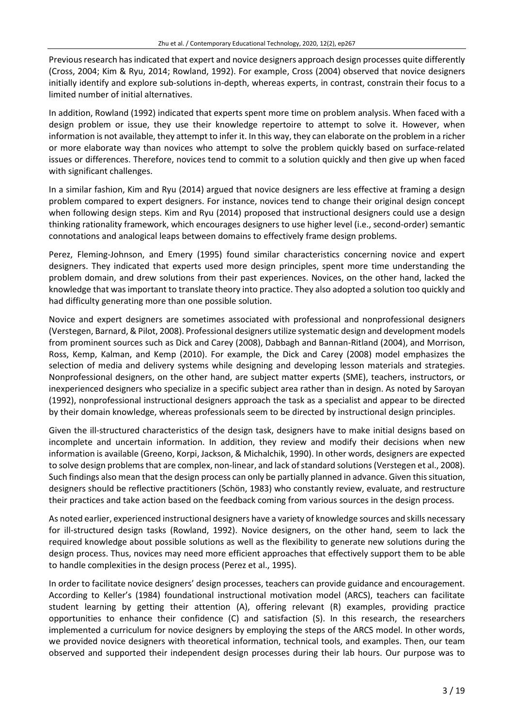Previous research has indicated that expert and novice designers approach design processes quite differently (Cross, 2004; Kim & Ryu, 2014; Rowland, 1992). For example, Cross (2004) observed that novice designers initially identify and explore sub-solutions in-depth, whereas experts, in contrast, constrain their focus to a limited number of initial alternatives.

In addition, Rowland (1992) indicated that experts spent more time on problem analysis. When faced with a design problem or issue, they use their knowledge repertoire to attempt to solve it. However, when information is not available, they attempt to infer it. In this way, they can elaborate on the problem in a richer or more elaborate way than novices who attempt to solve the problem quickly based on surface-related issues or differences. Therefore, novices tend to commit to a solution quickly and then give up when faced with significant challenges.

In a similar fashion, Kim and Ryu (2014) argued that novice designers are less effective at framing a design problem compared to expert designers. For instance, novices tend to change their original design concept when following design steps. Kim and Ryu (2014) proposed that instructional designers could use a design thinking rationality framework, which encourages designers to use higher level (i.e., second-order) semantic connotations and analogical leaps between domains to effectively frame design problems.

Perez, Fleming-Johnson, and Emery (1995) found similar characteristics concerning novice and expert designers. They indicated that experts used more design principles, spent more time understanding the problem domain, and drew solutions from their past experiences. Novices, on the other hand, lacked the knowledge that was important to translate theory into practice. They also adopted a solution too quickly and had difficulty generating more than one possible solution.

Novice and expert designers are sometimes associated with professional and nonprofessional designers (Verstegen, Barnard, &Pilot, 2008). Professional designers utilize systematic design and development models from prominent sources such as Dick and Carey (2008), Dabbagh and Bannan-Ritland (2004), and Morrison, Ross, Kemp, Kalman, and Kemp (2010). For example, the Dick and Carey (2008) model emphasizes the selection of media and delivery systems while designing and developing lesson materials and strategies. Nonprofessional designers, on the other hand, are subject matter experts (SME), teachers, instructors, or inexperienced designers who specialize in a specific subject area rather than in design. As noted by Saroyan (1992), nonprofessional instructional designers approach the task as a specialist and appear to be directed by their domain knowledge, whereas professionals seem to be directed by instructional design principles.

Given the ill-structured characteristics of the design task, designers have to make initial designs based on incomplete and uncertain information. In addition, they review and modify their decisions when new information is available (Greeno, Korpi, Jackson, & Michalchik, 1990). In other words, designers are expected to solve design problems that are complex, non-linear, and lack of standard solutions (Verstegen et al., 2008). Such findings also mean that the design process can only be partially planned in advance. Given thissituation, designers should be reflective practitioners (Schön, 1983) who constantly review, evaluate, and restructure their practices and take action based on the feedback coming from various sources in the design process.

As noted earlier, experienced instructional designers have a variety of knowledge sources and skills necessary for ill-structured design tasks (Rowland, 1992). Novice designers, on the other hand, seem to lack the required knowledge about possible solutions as well as the flexibility to generate new solutions during the design process. Thus, novices may need more efficient approaches that effectively support them to be able to handle complexities in the design process (Perez et al., 1995).

In order to facilitate novice designers' design processes, teachers can provide guidance and encouragement. According to Keller's (1984) foundational instructional motivation model (ARCS), teachers can facilitate student learning by getting their attention (A), offering relevant (R) examples, providing practice opportunities to enhance their confidence (C) and satisfaction (S). In this research, the researchers implemented a curriculum for novice designers by employing the steps of the ARCS model. In other words, we provided novice designers with theoretical information, technical tools, and examples. Then, our team observed and supported their independent design processes during their lab hours. Our purpose was to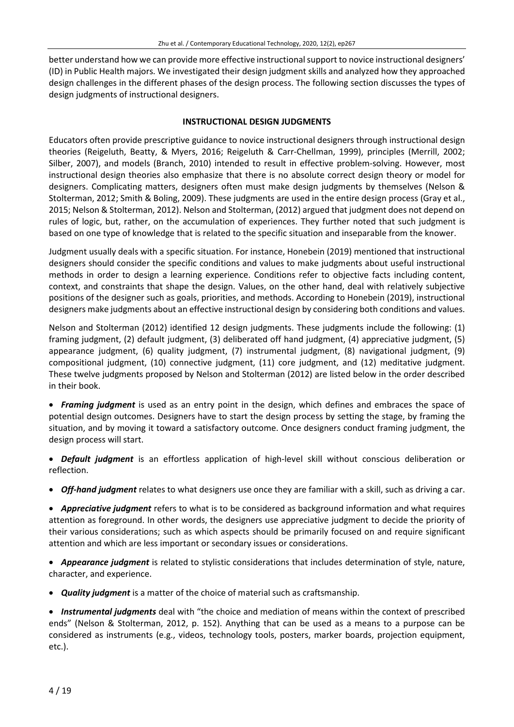better understand how we can provide more effective instructional support to novice instructional designers' (ID) in Public Health majors. We investigated their design judgment skills and analyzed how they approached design challenges in the different phases of the design process. The following section discusses the types of design judgments of instructional designers.

#### **INSTRUCTIONAL DESIGN JUDGMENTS**

Educators often provide prescriptive guidance to novice instructional designers through instructional design theories (Reigeluth, Beatty, & Myers, 2016; Reigeluth & Carr-Chellman, 1999), principles (Merrill, 2002; Silber, 2007), and models (Branch, 2010) intended to result in effective problem-solving. However, most instructional design theories also emphasize that there is no absolute correct design theory or model for designers. Complicating matters, designers often must make design judgments by themselves (Nelson & Stolterman, 2012; Smith & Boling, 2009). These judgments are used in the entire design process (Gray et al., 2015; Nelson & Stolterman, 2012). Nelson and Stolterman, (2012) argued that judgment does not depend on rules of logic, but, rather, on the accumulation of experiences. They further noted that such judgment is based on one type of knowledge that is related to the specific situation and inseparable from the knower.

Judgment usually deals with a specific situation. For instance, Honebein (2019) mentioned that instructional designers should consider the specific conditions and values to make judgments about useful instructional methods in order to design a learning experience. Conditions refer to objective facts including content, context, and constraints that shape the design. Values, on the other hand, deal with relatively subjective positions of the designer such as goals, priorities, and methods. According to Honebein (2019), instructional designers make judgments about an effective instructional design by considering both conditions and values.

Nelson and Stolterman (2012) identified 12 design judgments. These judgments include the following: (1) framing judgment, (2) default judgment, (3) deliberated off hand judgment, (4) appreciative judgment, (5) appearance judgment, (6) quality judgment, (7) instrumental judgment, (8) navigational judgment, (9) compositional judgment, (10) connective judgment, (11) core judgment, and (12) meditative judgment. These twelve judgments proposed by Nelson and Stolterman (2012) are listed below in the order described in their book.

• *Framing judgment* is used as an entry point in the design, which defines and embraces the space of potential design outcomes. Designers have to start the design process by setting the stage, by framing the situation, and by moving it toward a satisfactory outcome. Once designers conduct framing judgment, the design process will start.

• *Default judgment* is an effortless application of high-level skill without conscious deliberation or reflection.

• *Off-hand judgment* relates to what designers use once they are familiar with a skill, such as driving a car.

• *Appreciative judgment* refers to what is to be considered as background information and what requires attention as foreground. In other words, the designers use appreciative judgment to decide the priority of their various considerations; such as which aspects should be primarily focused on and require significant attention and which are less important or secondary issues or considerations.

• *Appearance judgment* is related to stylistic considerations that includes determination of style, nature, character, and experience.

• *Quality judgment* is a matter of the choice of material such as craftsmanship.

• *Instrumental judgments* deal with "the choice and mediation of means within the context of prescribed ends" (Nelson & Stolterman, 2012, p. 152). Anything that can be used as a means to a purpose can be considered as instruments (e.g., videos, technology tools, posters, marker boards, projection equipment, etc.).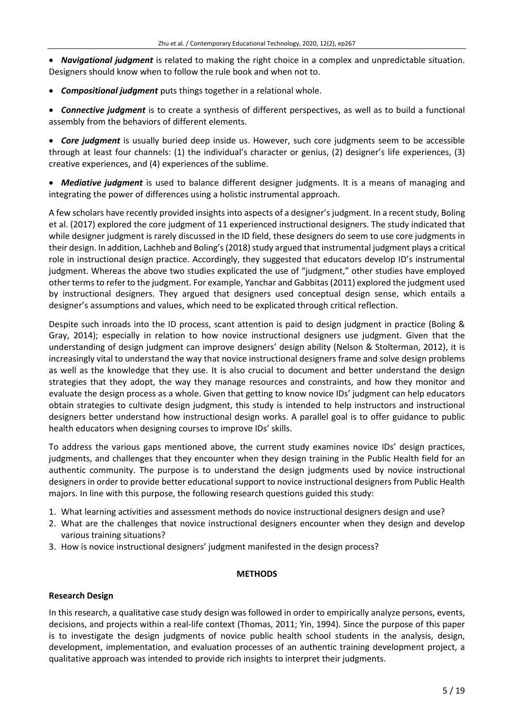• *Navigational judgment* is related to making the right choice in a complex and unpredictable situation. Designers should know when to follow the rule book and when not to.

• *Compositional judgment* puts things together in a relational whole.

• *Connective judgment* is to create a synthesis of different perspectives, as well as to build a functional assembly from the behaviors of different elements.

• *Core judgment* is usually buried deep inside us. However, such core judgments seem to be accessible through at least four channels: (1) the individual's character or genius, (2) designer's life experiences, (3) creative experiences, and (4) experiences of the sublime.

• *Mediative judgment* is used to balance different designer judgments. It is a means of managing and integrating the power of differences using a holistic instrumental approach.

A few scholars have recently provided insights into aspects of a designer's judgment. In a recent study, Boling et al. (2017) explored the core judgment of 11 experienced instructional designers. The study indicated that while designer judgment is rarely discussed in the ID field, these designers do seem to use core judgments in their design. In addition, Lachheb and Boling's (2018) study argued that instrumental judgment plays a critical role in instructional design practice. Accordingly, they suggested that educators develop ID's instrumental judgment. Whereas the above two studies explicated the use of "judgment," other studies have employed other termsto refer to the judgment. For example, Yanchar and Gabbitas(2011) explored the judgment used by instructional designers. They argued that designers used conceptual design sense, which entails a designer's assumptions and values, which need to be explicated through critical reflection.

Despite such inroads into the ID process, scant attention is paid to design judgment in practice (Boling & Gray, 2014); especially in relation to how novice instructional designers use judgment. Given that the understanding of design judgment can improve designers' design ability (Nelson & Stolterman, 2012), it is increasingly vital to understand the way that novice instructional designers frame and solve design problems as well as the knowledge that they use. It is also crucial to document and better understand the design strategies that they adopt, the way they manage resources and constraints, and how they monitor and evaluate the design process as a whole. Given that getting to know novice IDs' judgment can help educators obtain strategies to cultivate design judgment, this study is intended to help instructors and instructional designers better understand how instructional design works. A parallel goal is to offer guidance to public health educators when designing courses to improve IDs' skills.

To address the various gaps mentioned above, the current study examines novice IDs' design practices, judgments, and challenges that they encounter when they design training in the Public Health field for an authentic community. The purpose is to understand the design judgments used by novice instructional designers in order to provide better educational support to novice instructional designers from Public Health majors. In line with this purpose, the following research questions guided this study:

- 1. What learning activities and assessment methods do novice instructional designers design and use?
- 2. What are the challenges that novice instructional designers encounter when they design and develop various training situations?
- 3. How is novice instructional designers' judgment manifested in the design process?

#### **METHODS**

#### **Research Design**

In this research, a qualitative case study design was followed in order to empirically analyze persons, events, decisions, and projects within a real-life context (Thomas, 2011; Yin, 1994). Since the purpose of this paper is to investigate the design judgments of novice public health school students in the analysis, design, development, implementation, and evaluation processes of an authentic training development project, a qualitative approach was intended to provide rich insights to interpret their judgments.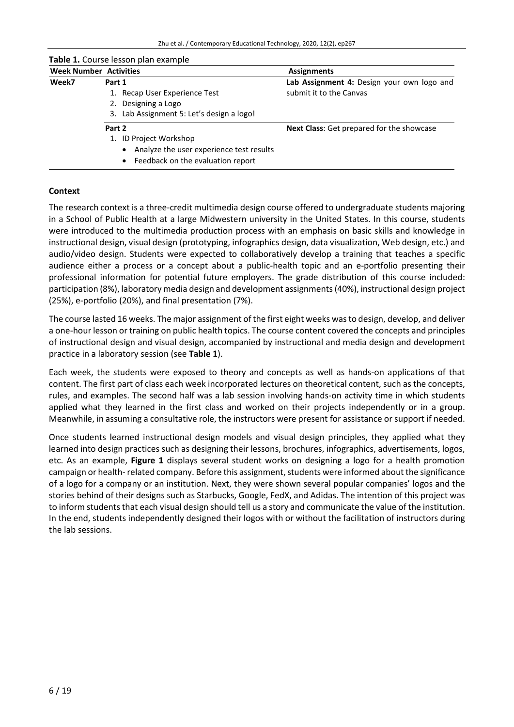**Table 1.** Course lesson plan example

| <b>Week Number Activities</b> |        |                                                       | <b>Assignments</b>                               |  |
|-------------------------------|--------|-------------------------------------------------------|--------------------------------------------------|--|
| Week7                         | Part 1 |                                                       | Lab Assignment 4: Design your own logo and       |  |
|                               |        | 1. Recap User Experience Test                         | submit it to the Canvas                          |  |
|                               |        | 2. Designing a Logo                                   |                                                  |  |
|                               |        | 3. Lab Assignment 5: Let's design a logo!             |                                                  |  |
|                               | Part 2 |                                                       | <b>Next Class:</b> Get prepared for the showcase |  |
|                               |        | 1. ID Project Workshop                                |                                                  |  |
|                               |        | Analyze the user experience test results<br>$\bullet$ |                                                  |  |
|                               |        | • Feedback on the evaluation report                   |                                                  |  |

#### **Context**

The research context is a three-credit multimedia design course offered to undergraduate students majoring in a School of Public Health at a large Midwestern university in the United States. In this course, students were introduced to the multimedia production process with an emphasis on basic skills and knowledge in instructional design, visual design (prototyping, infographics design, data visualization, Web design, etc.) and audio/video design. Students were expected to collaboratively develop a training that teaches a specific audience either a process or a concept about a public-health topic and an e-portfolio presenting their professional information for potential future employers. The grade distribution of this course included: participation (8%), laboratory media design and development assignments(40%), instructional design project (25%), e-portfolio (20%), and final presentation (7%).

The course lasted 16 weeks. The major assignment of the first eight weeks wasto design, develop, and deliver a one-hour lesson or training on public health topics. The course content covered the concepts and principles of instructional design and visual design, accompanied by instructional and media design and development practice in a laboratory session (see **Table 1**).

Each week, the students were exposed to theory and concepts as well as hands-on applications of that content. The first part of class each week incorporated lectures on theoretical content, such as the concepts, rules, and examples. The second half was a lab session involving hands-on activity time in which students applied what they learned in the first class and worked on their projects independently or in a group. Meanwhile, in assuming a consultative role, the instructors were present for assistance orsupport if needed.

Once students learned instructional design models and visual design principles, they applied what they learned into design practices such as designing their lessons, brochures, infographics, advertisements, logos, etc. As an example, **Figure 1** displays several student works on designing a logo for a health promotion campaign or health-related company. Before this assignment, students were informed about the significance of a logo for a company or an institution. Next, they were shown several popular companies' logos and the stories behind of their designs such as Starbucks, Google, FedX, and Adidas. The intention of this project was to inform students that each visual design should tell us a story and communicate the value of the institution. In the end, students independently designed their logos with or without the facilitation of instructors during the lab sessions.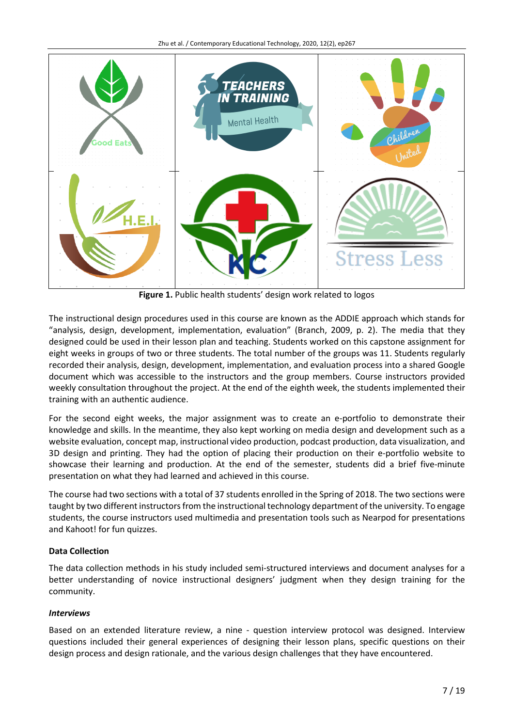

**Figure 1.** Public health students' design work related to logos

The instructional design procedures used in this course are known as the ADDIE approach which stands for "analysis, design, development, implementation, evaluation" (Branch, 2009, p. 2). The media that they designed could be used in their lesson plan and teaching. Students worked on this capstone assignment for eight weeks in groups of two or three students. The total number of the groups was 11. Students regularly recorded their analysis, design, development, implementation, and evaluation process into a shared Google document which was accessible to the instructors and the group members. Course instructors provided weekly consultation throughout the project. At the end of the eighth week, the students implemented their training with an authentic audience.

For the second eight weeks, the major assignment was to create an e-portfolio to demonstrate their knowledge and skills. In the meantime, they also kept working on media design and development such as a website evaluation, concept map, instructional video production, podcast production, data visualization, and 3D design and printing. They had the option of placing their production on their e-portfolio website to showcase their learning and production. At the end of the semester, students did a brief five-minute presentation on what they had learned and achieved in this course.

The course had two sections with a total of 37 students enrolled in the Spring of 2018. The two sections were taught by two different instructorsfrom the instructional technology department of the university. To engage students, the course instructors used multimedia and presentation tools such as Nearpod for presentations and Kahoot! for fun quizzes.

# **Data Collection**

The data collection methods in his study included semi-structured interviews and document analyses for a better understanding of novice instructional designers' judgment when they design training for the community.

# *Interviews*

Based on an extended literature review, a nine - question interview protocol was designed. Interview questions included their general experiences of designing their lesson plans, specific questions on their design process and design rationale, and the various design challenges that they have encountered.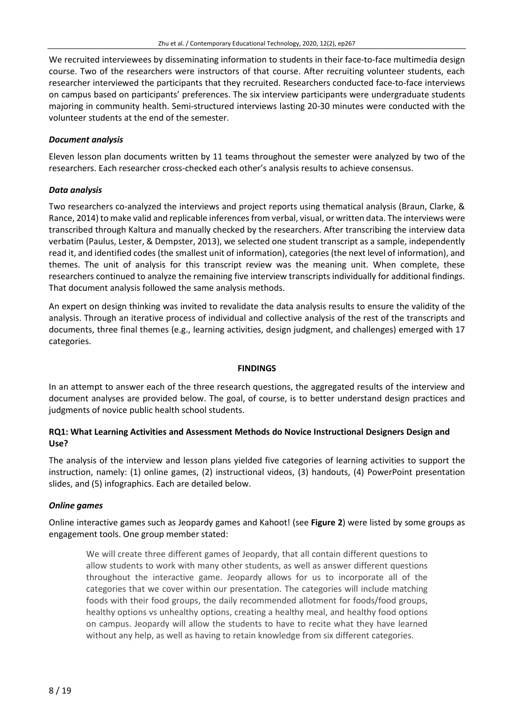We recruited interviewees by disseminating information to students in their face-to-face multimedia design course. Two of the researchers were instructors of that course. After recruiting volunteer students, each researcher interviewed the participants that they recruited. Researchers conducted face-to-face interviews on campus based on participants' preferences. The six interview participants were undergraduate students majoring in community health. Semi-structured interviews lasting 20-30 minutes were conducted with the volunteer students at the end of the semester.

#### *Document analysis*

Eleven lesson plan documents written by 11 teams throughout the semester were analyzed by two of the researchers. Each researcher cross-checked each other's analysis results to achieve consensus.

#### *Data analysis*

Two researchers co-analyzed the interviews and project reports using thematical analysis (Braun, Clarke, & Rance, 2014) to make valid and replicable inferencesfrom verbal, visual, or written data. The interviews were transcribed through Kaltura and manually checked by the researchers. After transcribing the interview data verbatim (Paulus, Lester, & Dempster, 2013), we selected one student transcript as a sample, independently read it, and identified codes (the smallest unit of information), categories (the next level of information), and themes. The unit of analysis for this transcript review was the meaning unit. When complete, these researchers continued to analyze the remaining five interview transcripts individually for additional findings. That document analysis followed the same analysis methods.

An expert on design thinking was invited to revalidate the data analysis results to ensure the validity of the analysis. Through an iterative process of individual and collective analysis of the rest of the transcripts and documents, three final themes (e.g., learning activities, design judgment, and challenges) emerged with 17 categories.

#### **FINDINGS**

In an attempt to answer each of the three research questions, the aggregated results of the interview and document analyses are provided below. The goal, of course, is to better understand design practices and judgments of novice public health school students.

## **RQ1: What Learning Activities and Assessment Methods do Novice Instructional Designers Design and Use?**

The analysis of the interview and lesson plans yielded five categories of learning activities to support the instruction, namely: (1) online games, (2) instructional videos, (3) handouts, (4) PowerPoint presentation slides, and (5) infographics. Each are detailed below.

#### *Online games*

Online interactive games such as Jeopardy games and Kahoot! (see **Figure 2**) were listed by some groups as engagement tools. One group member stated:

We will create three different games of Jeopardy, that all contain different questions to allow students to work with many other students, as well as answer different questions throughout the interactive game. Jeopardy allows for us to incorporate all of the categories that we cover within our presentation. The categories will include matching foods with their food groups, the daily recommended allotment for foods/food groups, healthy options vs unhealthy options, creating a healthy meal, and healthy food options on campus. Jeopardy will allow the students to have to recite what they have learned without any help, as well as having to retain knowledge from six different categories.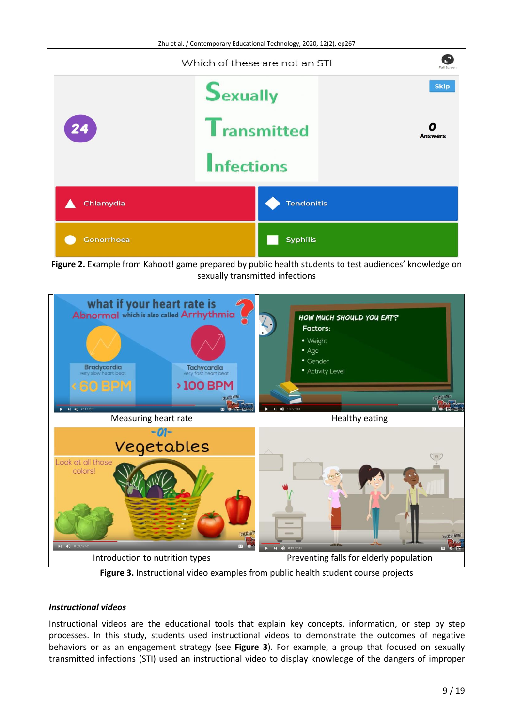

Figure 2. Example from Kahoot! game prepared by public health students to test audiences' knowledge on sexually transmitted infections



**Figure 3.** Instructional video examples from public health student course projects

# *Instructional videos*

Instructional videos are the educational tools that explain key concepts, information, or step by step processes. In this study, students used instructional videos to demonstrate the outcomes of negative behaviors or as an engagement strategy (see **Figure 3**). For example, a group that focused on sexually transmitted infections (STI) used an instructional video to display knowledge of the dangers of improper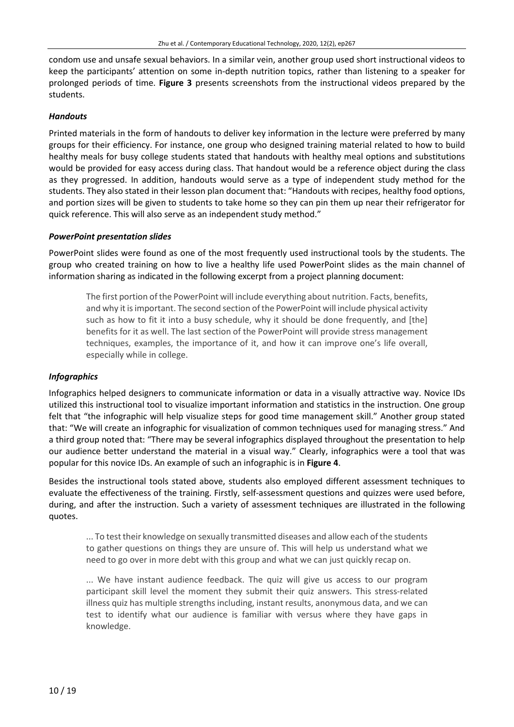condom use and unsafe sexual behaviors. In a similar vein, another group used short instructional videos to keep the participants' attention on some in-depth nutrition topics, rather than listening to a speaker for prolonged periods of time. **Figure 3** presents screenshots from the instructional videos prepared by the students.

#### *Handouts*

Printed materials in the form of handouts to deliver key information in the lecture were preferred by many groups for their efficiency. For instance, one group who designed training material related to how to build healthy meals for busy college students stated that handouts with healthy meal options and substitutions would be provided for easy access during class. That handout would be a reference object during the class as they progressed. In addition, handouts would serve as a type of independent study method for the students. They also stated in their lesson plan document that: "Handouts with recipes, healthy food options, and portion sizes will be given to students to take home so they can pin them up near their refrigerator for quick reference. This will also serve as an independent study method."

#### *PowerPoint presentation slides*

PowerPoint slides were found as one of the most frequently used instructional tools by the students. The group who created training on how to live a healthy life used PowerPoint slides as the main channel of information sharing as indicated in the following excerpt from a project planning document:

The first portion of the PowerPoint will include everything about nutrition. Facts, benefits, and why it isimportant. The second section ofthe PowerPoint will include physical activity such as how to fit it into a busy schedule, why it should be done frequently, and [the] benefits for it as well. The last section of the PowerPoint will provide stress management techniques, examples, the importance of it, and how it can improve one's life overall, especially while in college.

# *Infographics*

Infographics helped designers to communicate information or data in a visually attractive way. Novice IDs utilized this instructional tool to visualize important information and statistics in the instruction. One group felt that "the infographic will help visualize steps for good time management skill." Another group stated that: "We will create an infographic for visualization of common techniques used for managing stress." And a third group noted that: "There may be several infographics displayed throughout the presentation to help our audience better understand the material in a visual way." Clearly, infographics were a tool that was popular for this novice IDs. An example of such an infographic is in **Figure 4**.

Besides the instructional tools stated above, students also employed different assessment techniques to evaluate the effectiveness of the training. Firstly, self-assessment questions and quizzes were used before, during, and after the instruction. Such a variety of assessment techniques are illustrated in the following quotes.

... To test their knowledge on sexually transmitted diseases and allow each of the students to gather questions on things they are unsure of. This will help us understand what we need to go over in more debt with this group and what we can just quickly recap on.

... We have instant audience feedback. The quiz will give us access to our program participant skill level the moment they submit their quiz answers. This stress-related illness quiz has multiple strengths including, instant results, anonymous data, and we can test to identify what our audience is familiar with versus where they have gaps in knowledge.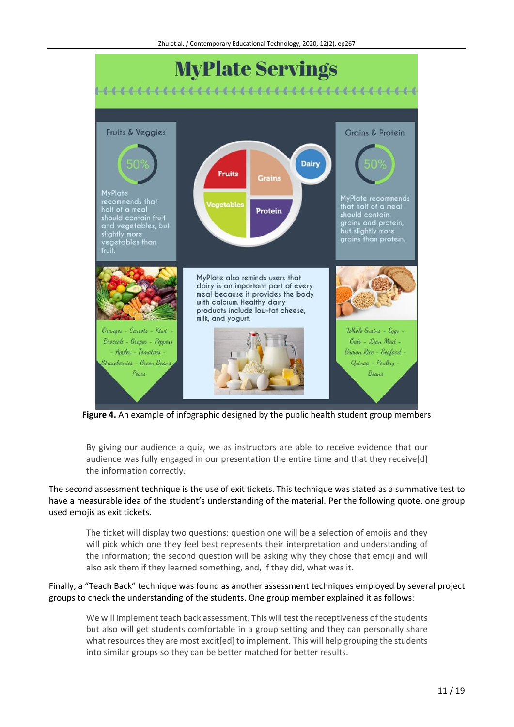

**Figure 4.** An example of infographic designed by the public health student group members

By giving our audience a quiz, we as instructors are able to receive evidence that our audience was fully engaged in our presentation the entire time and that they receive[d] the information correctly.

The second assessment technique is the use of exit tickets. This technique was stated as a summative test to have a measurable idea of the student's understanding of the material. Per the following quote, one group used emojis as exit tickets.

The ticket will display two questions: question one will be a selection of emojis and they will pick which one they feel best represents their interpretation and understanding of the information; the second question will be asking why they chose that emoji and will also ask them if they learned something, and, if they did, what was it.

Finally, a "Teach Back" technique was found as another assessment techniques employed by several project groups to check the understanding of the students. One group member explained it as follows:

We will implement teach back assessment. This will test the receptiveness of the students but also will get students comfortable in a group setting and they can personally share what resources they are most excit[ed] to implement. This will help grouping the students into similar groups so they can be better matched for better results.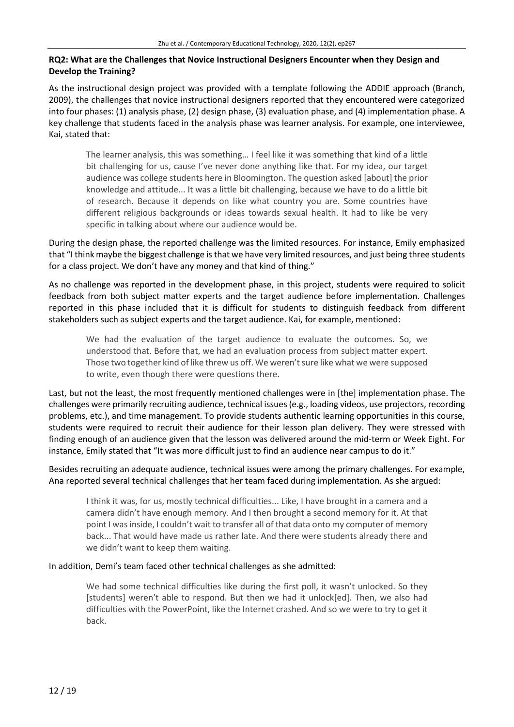## **RQ2: What are the Challenges that Novice Instructional Designers Encounter when they Design and Develop the Training?**

As the instructional design project was provided with a template following the ADDIE approach (Branch, 2009), the challenges that novice instructional designers reported that they encountered were categorized into four phases: (1) analysis phase, (2) design phase, (3) evaluation phase, and (4) implementation phase. A key challenge that students faced in the analysis phase was learner analysis. For example, one interviewee, Kai, stated that:

The learner analysis, this was something… I feel like it was something that kind of a little bit challenging for us, cause I've never done anything like that. For my idea, our target audience was college students here in Bloomington. The question asked [about] the prior knowledge and attitude... It was a little bit challenging, because we have to do a little bit of research. Because it depends on like what country you are. Some countries have different religious backgrounds or ideas towards sexual health. It had to like be very specific in talking about where our audience would be.

During the design phase, the reported challenge was the limited resources. For instance, Emily emphasized that "I think maybe the biggest challenge isthat we have very limited resources, and just being three students for a class project. We don't have any money and that kind of thing."

As no challenge was reported in the development phase, in this project, students were required to solicit feedback from both subject matter experts and the target audience before implementation. Challenges reported in this phase included that it is difficult for students to distinguish feedback from different stakeholders such as subject experts and the target audience. Kai, for example, mentioned:

We had the evaluation of the target audience to evaluate the outcomes. So, we understood that. Before that, we had an evaluation process from subject matter expert. Those two together kind oflike threw us off. We weren'tsure like what we were supposed to write, even though there were questions there.

Last, but not the least, the most frequently mentioned challenges were in [the] implementation phase. The challenges were primarily recruiting audience, technical issues(e.g., loading videos, use projectors, recording problems, etc.), and time management. To provide students authentic learning opportunities in this course, students were required to recruit their audience for their lesson plan delivery. They were stressed with finding enough of an audience given that the lesson was delivered around the mid-term or Week Eight. For instance, Emily stated that "It was more difficult just to find an audience near campus to do it."

Besides recruiting an adequate audience, technical issues were among the primary challenges. For example, Ana reported several technical challenges that her team faced during implementation. As she argued:

I think it was, for us, mostly technical difficulties... Like, I have brought in a camera and a camera didn't have enough memory. And I then brought a second memory for it. At that point I wasinside, I couldn't wait to transfer all of that data onto my computer of memory back... That would have made us rather late. And there were students already there and we didn't want to keep them waiting.

In addition, Demi's team faced other technical challenges as she admitted:

We had some technical difficulties like during the first poll, it wasn't unlocked. So they [students] weren't able to respond. But then we had it unlock[ed]. Then, we also had difficulties with the PowerPoint, like the Internet crashed. And so we were to try to get it back.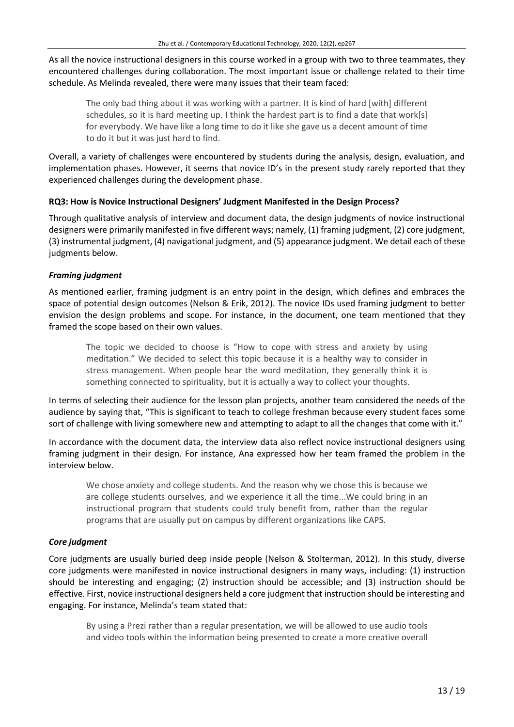As all the novice instructional designers in this course worked in a group with two to three teammates, they encountered challenges during collaboration. The most important issue or challenge related to their time schedule. As Melinda revealed, there were many issues that their team faced:

The only bad thing about it was working with a partner. It is kind of hard [with] different schedules, so it is hard meeting up. I think the hardest part is to find a date that work[s] for everybody. We have like a long time to do it like she gave us a decent amount of time to do it but it was just hard to find.

Overall, a variety of challenges were encountered by students during the analysis, design, evaluation, and implementation phases. However, it seems that novice ID's in the present study rarely reported that they experienced challenges during the development phase.

## **RQ3: How is Novice Instructional Designers' Judgment Manifested in the Design Process?**

Through qualitative analysis of interview and document data, the design judgments of novice instructional designers were primarily manifested in five different ways; namely, (1) framing judgment, (2) core judgment, (3) instrumental judgment, (4) navigational judgment, and (5) appearance judgment. We detail each of these judgments below.

## *Framing judgment*

As mentioned earlier, framing judgment is an entry point in the design, which defines and embraces the space of potential design outcomes (Nelson & Erik, 2012). The novice IDs used framing judgment to better envision the design problems and scope. For instance, in the document, one team mentioned that they framed the scope based on their own values.

The topic we decided to choose is "How to cope with stress and anxiety by using meditation." We decided to select this topic because it is a healthy way to consider in stress management. When people hear the word meditation, they generally think it is something connected to spirituality, but it is actually a way to collect your thoughts.

In terms of selecting their audience for the lesson plan projects, another team considered the needs of the audience by saying that, "This is significant to teach to college freshman because every student faces some sort of challenge with living somewhere new and attempting to adapt to all the changes that come with it."

In accordance with the document data, the interview data also reflect novice instructional designers using framing judgment in their design. For instance, Ana expressed how her team framed the problem in the interview below.

We chose anxiety and college students. And the reason why we chose this is because we are college students ourselves, and we experience it all the time...We could bring in an instructional program that students could truly benefit from, rather than the regular programs that are usually put on campus by different organizations like CAPS.

#### *Core judgment*

Core judgments are usually buried deep inside people (Nelson & Stolterman, 2012). In this study, diverse core judgments were manifested in novice instructional designers in many ways, including: (1) instruction should be interesting and engaging; (2) instruction should be accessible; and (3) instruction should be effective. First, novice instructional designers held a core judgment that instruction should be interesting and engaging. For instance, Melinda's team stated that:

By using a Prezi rather than a regular presentation, we will be allowed to use audio tools and video tools within the information being presented to create a more creative overall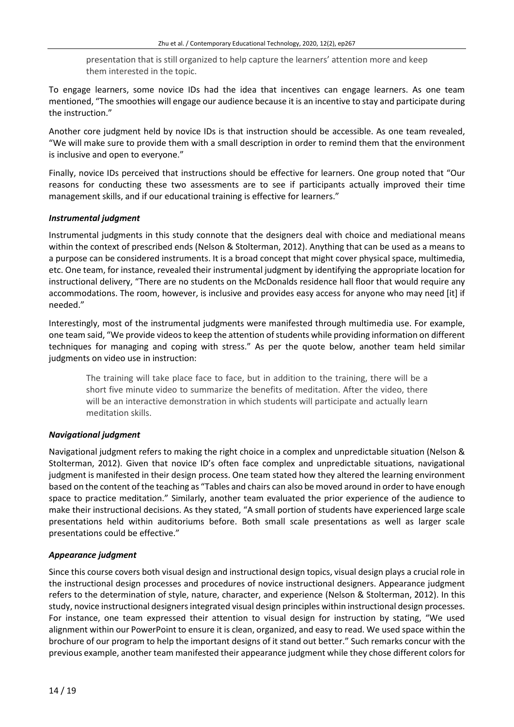presentation that is still organized to help capture the learners' attention more and keep them interested in the topic.

To engage learners, some novice IDs had the idea that incentives can engage learners. As one team mentioned, "The smoothies will engage our audience because it is an incentive to stay and participate during the instruction."

Another core judgment held by novice IDs is that instruction should be accessible. As one team revealed, "We will make sure to provide them with a small description in order to remind them that the environment is inclusive and open to everyone."

Finally, novice IDs perceived that instructions should be effective for learners. One group noted that "Our reasons for conducting these two assessments are to see if participants actually improved their time management skills, and if our educational training is effective for learners."

## *Instrumental judgment*

Instrumental judgments in this study connote that the designers deal with choice and mediational means within the context of prescribed ends (Nelson & Stolterman, 2012). Anything that can be used as a means to a purpose can be considered instruments. It is a broad concept that might cover physical space, multimedia, etc. One team, for instance, revealed their instrumental judgment by identifying the appropriate location for instructional delivery, "There are no students on the McDonalds residence hall floor that would require any accommodations. The room, however, is inclusive and provides easy access for anyone who may need [it] if needed."

Interestingly, most of the instrumental judgments were manifested through multimedia use. For example, one team said, "We provide videos to keep the attention of students while providing information on different techniques for managing and coping with stress." As per the quote below, another team held similar judgments on video use in instruction:

The training will take place face to face, but in addition to the training, there will be a short five minute video to summarize the benefits of meditation. After the video, there will be an interactive demonstration in which students will participate and actually learn meditation skills.

# *Navigational judgment*

Navigational judgment refers to making the right choice in a complex and unpredictable situation (Nelson & Stolterman, 2012). Given that novice ID's often face complex and unpredictable situations, navigational judgment is manifested in their design process. One team stated how they altered the learning environment based on the content of the teaching as "Tables and chairs can also be moved around in order to have enough space to practice meditation." Similarly, another team evaluated the prior experience of the audience to make their instructional decisions. As they stated, "A small portion of students have experienced large scale presentations held within auditoriums before. Both small scale presentations as well as larger scale presentations could be effective."

# *Appearance judgment*

Since this course covers both visual design and instructional design topics, visual design plays a crucial role in the instructional design processes and procedures of novice instructional designers. Appearance judgment refers to the determination of style, nature, character, and experience (Nelson & Stolterman, 2012). In this study, novice instructional designersintegrated visual design principles within instructional design processes. For instance, one team expressed their attention to visual design for instruction by stating, "We used alignment within our PowerPoint to ensure it is clean, organized, and easy to read. We used space within the brochure of our program to help the important designs of it stand out better." Such remarks concur with the previous example, another team manifested their appearance judgment while they chose different colorsfor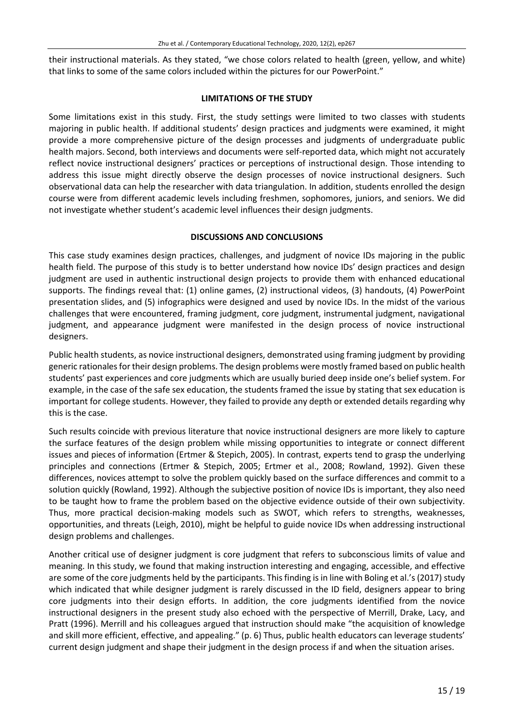their instructional materials. As they stated, "we chose colors related to health (green, yellow, and white) that links to some of the same colors included within the pictures for our PowerPoint."

#### **LIMITATIONS OF THE STUDY**

Some limitations exist in this study. First, the study settings were limited to two classes with students majoring in public health. If additional students' design practices and judgments were examined, it might provide a more comprehensive picture of the design processes and judgments of undergraduate public health majors. Second, both interviews and documents were self-reported data, which might not accurately reflect novice instructional designers' practices or perceptions of instructional design. Those intending to address this issue might directly observe the design processes of novice instructional designers. Such observational data can help the researcher with data triangulation. In addition, students enrolled the design course were from different academic levels including freshmen, sophomores, juniors, and seniors. We did not investigate whether student's academic level influences their design judgments.

## **DISCUSSIONS AND CONCLUSIONS**

This case study examines design practices, challenges, and judgment of novice IDs majoring in the public health field. The purpose of this study is to better understand how novice IDs' design practices and design judgment are used in authentic instructional design projects to provide them with enhanced educational supports. The findings reveal that: (1) online games, (2) instructional videos, (3) handouts, (4) PowerPoint presentation slides, and (5) infographics were designed and used by novice IDs. In the midst of the various challenges that were encountered, framing judgment, core judgment, instrumental judgment, navigational judgment, and appearance judgment were manifested in the design process of novice instructional designers.

Public health students, as novice instructional designers, demonstrated using framing judgment by providing generic rationales for their design problems. The design problems were mostly framed based on public health students' past experiences and core judgments which are usually buried deep inside one's belief system. For example, in the case of the safe sex education, the students framed the issue by stating that sex education is important for college students. However, they failed to provide any depth or extended details regarding why this is the case.

Such results coincide with previous literature that novice instructional designers are more likely to capture the surface features of the design problem while missing opportunities to integrate or connect different issues and pieces of information (Ertmer & Stepich, 2005). In contrast, experts tend to grasp the underlying principles and connections (Ertmer & Stepich, 2005; Ertmer et al., 2008; Rowland, 1992). Given these differences, novices attempt to solve the problem quickly based on the surface differences and commit to a solution quickly (Rowland, 1992). Although the subjective position of novice IDs is important, they also need to be taught how to frame the problem based on the objective evidence outside of their own subjectivity. Thus, more practical decision-making models such as SWOT, which refers to strengths, weaknesses, opportunities, and threats (Leigh, 2010), might be helpful to guide novice IDs when addressing instructional design problems and challenges.

Another critical use of designer judgment is core judgment that refers to subconscious limits of value and meaning. In this study, we found that making instruction interesting and engaging, accessible, and effective are some of the core judgments held by the participants. This finding is in line with Boling et al.'s (2017) study which indicated that while designer judgment is rarely discussed in the ID field, designers appear to bring core judgments into their design efforts. In addition, the core judgments identified from the novice instructional designers in the present study also echoed with the perspective of Merrill, Drake, Lacy, and Pratt (1996). Merrill and his colleagues argued that instruction should make "the acquisition of knowledge and skill more efficient, effective, and appealing." (p. 6) Thus, public health educators can leverage students' current design judgment and shape their judgment in the design process if and when the situation arises.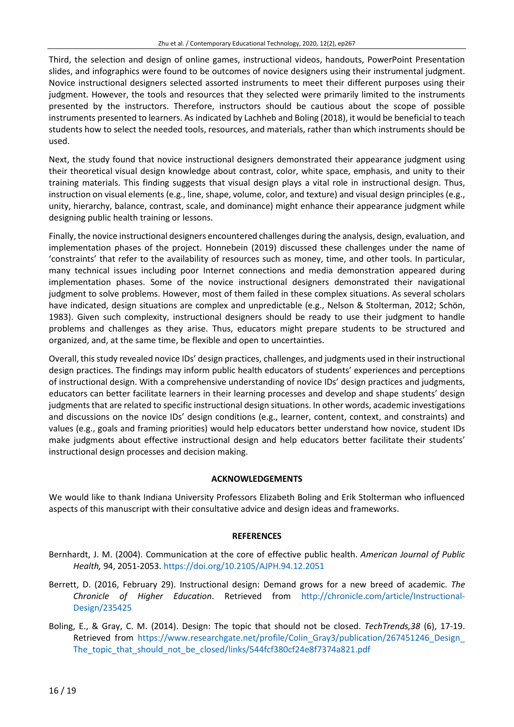Third, the selection and design of online games, instructional videos, handouts, PowerPoint Presentation slides, and infographics were found to be outcomes of novice designers using their instrumental judgment. Novice instructional designers selected assorted instruments to meet their different purposes using their judgment. However, the tools and resources that they selected were primarily limited to the instruments presented by the instructors. Therefore, instructors should be cautious about the scope of possible instruments presented to learners. As indicated by Lachheb and Boling (2018), it would be beneficial to teach students how to select the needed tools, resources, and materials, rather than which instruments should be used.

Next, the study found that novice instructional designers demonstrated their appearance judgment using their theoretical visual design knowledge about contrast, color, white space, emphasis, and unity to their training materials. This finding suggests that visual design plays a vital role in instructional design. Thus, instruction on visual elements (e.g., line, shape, volume, color, and texture) and visual design principles (e.g., unity, hierarchy, balance, contrast, scale, and dominance) might enhance their appearance judgment while designing public health training or lessons.

Finally, the novice instructional designers encountered challenges during the analysis, design, evaluation, and implementation phases of the project. Honnebein (2019) discussed these challenges under the name of 'constraints' that refer to the availability of resources such as money, time, and other tools. In particular, many technical issues including poor Internet connections and media demonstration appeared during implementation phases. Some of the novice instructional designers demonstrated their navigational judgment to solve problems. However, most of them failed in these complex situations. As several scholars have indicated, design situations are complex and unpredictable (e.g., Nelson & Stolterman, 2012; Schön, 1983). Given such complexity, instructional designers should be ready to use their judgment to handle problems and challenges as they arise. Thus, educators might prepare students to be structured and organized, and, at the same time, be flexible and open to uncertainties.

Overall, this study revealed novice IDs' design practices, challenges, and judgments used in their instructional design practices. The findings may inform public health educators of students' experiences and perceptions of instructional design. With a comprehensive understanding of novice IDs' design practices and judgments, educators can better facilitate learners in their learning processes and develop and shape students' design judgments that are related to specific instructional design situations. In other words, academic investigations and discussions on the novice IDs' design conditions (e.g., learner, content, context, and constraints) and values (e.g., goals and framing priorities) would help educators better understand how novice, student IDs make judgments about effective instructional design and help educators better facilitate their students' instructional design processes and decision making.

#### **ACKNOWLEDGEMENTS**

We would like to thank Indiana University Professors Elizabeth Boling and Erik Stolterman who influenced aspects of this manuscript with their consultative advice and design ideas and frameworks.

#### **REFERENCES**

- Bernhardt, J. M. (2004). Communication at the core of effective public health. *American Journal of Public Health,* 94, 2051-2053. <https://doi.org/10.2105/AJPH.94.12.2051>
- Berrett, D. (2016, February 29). Instructional design: Demand grows for a new breed of academic. *The Chronicle of Higher Education*. Retrieved from [http://chronicle.com/article/Instructional-](http://chronicle.com/article/Instructional-Design/235425)[Design/235425](http://chronicle.com/article/Instructional-Design/235425)
- Boling, E., & Gray, C. M. (2014). Design: The topic that should not be closed. *TechTrends,38* (6), 17-19. Retrieved from https://www.researchgate.net/profile/Colin Gray3/publication/267451246 Design [The\\_topic\\_that\\_should\\_not\\_be\\_closed/links/544fcf380cf24e8f7374a821.pdf](https://www.researchgate.net/profile/Colin_Gray3/publication/267451246_Design_The_topic_that_should_not_be_closed/links/544fcf380cf24e8f7374a821.pdf)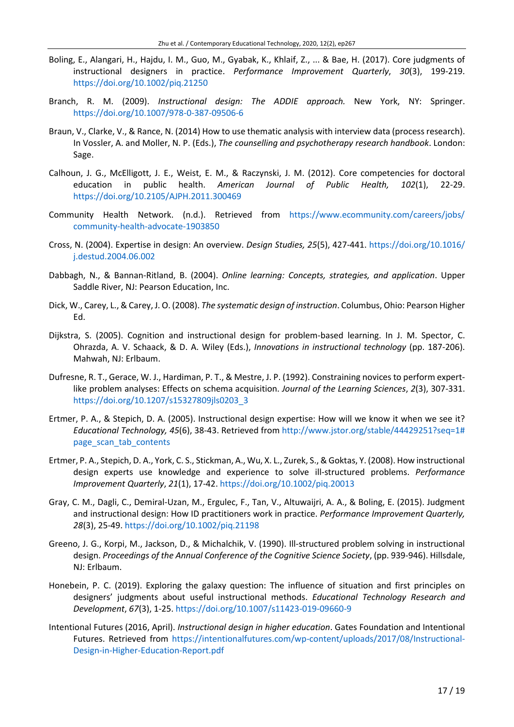- Boling, E., Alangari, H., Hajdu, I. M., Guo, M., Gyabak, K., Khlaif, Z., ... & Bae, H. (2017). Core judgments of instructional designers in practice. *Performance Improvement Quarterly*, *30*(3), 199-219. <https://doi.org/10.1002/piq.21250>
- Branch, R. M. (2009). *Instructional design: The ADDIE approach.* New York, NY: Springer. <https://doi.org/10.1007/978-0-387-09506-6>
- Braun, V., Clarke, V., & Rance, N. (2014) How to use thematic analysis with interview data (process research). In Vossler, A. and Moller, N. P. (Eds.), *The counselling and psychotherapy research handbook*. London: Sage.
- Calhoun, J. G., McElligott, J. E., Weist, E. M., & Raczynski, J. M. (2012). Core competencies for doctoral education in public health. *American Journal of Public Health, 102*(1), 22-29. <https://doi.org/10.2105/AJPH.2011.300469>
- Community Health Network. (n.d.). Retrieved from [https://www.ecommunity.com/careers/jobs/](https://www.ecommunity.com/careers/jobs/community-health-advocate-1903850) [community-health-advocate-1903850](https://www.ecommunity.com/careers/jobs/community-health-advocate-1903850)
- Cross, N. (2004). Expertise in design: An overview. *Design Studies, 25*(5), 427-441. [https://doi.org/10.1016/](https://doi.org/10.1016/j.destud.2004.06.002) [j.destud.2004.06.002](https://doi.org/10.1016/j.destud.2004.06.002)
- Dabbagh, N., & Bannan-Ritland, B. (2004). *Online learning: Concepts, strategies, and application*. Upper Saddle River, NJ: Pearson Education, Inc.
- Dick, W., Carey, L., & Carey, J. O. (2008). *The systematic design of instruction*. Columbus, Ohio: Pearson Higher Ed.
- Dijkstra, S. (2005). Cognition and instructional design for problem-based learning. In J. M. Spector, C. Ohrazda, A. V. Schaack, & D. A. Wiley (Eds.), *Innovations in instructional technology* (pp. 187-206). Mahwah, NJ: Erlbaum.
- Dufresne, R. T., Gerace, W. J., Hardiman, P. T., & Mestre, J. P. (1992). Constraining novices to perform expertlike problem analyses: Effects on schema acquisition. *Journal of the Learning Sciences*, *2*(3), 307-331. [https://doi.org/10.1207/s15327809jls0203\\_3](https://doi.org/10.1207/s15327809jls0203_3)
- Ertmer, P. A., & Stepich, D. A. (2005). Instructional design expertise: How will we know it when we see it? *Educational Technology, 45*(6), 38-43. Retrieved from [http://www.jstor.org/stable/44429251?seq=1#](http://www.jstor.org/stable/44429251?seq=1#page_scan_tab_contents) [page\\_scan\\_tab\\_contents](http://www.jstor.org/stable/44429251?seq=1#page_scan_tab_contents)
- Ertmer, P. A., Stepich, D. A., York, C. S., Stickman, A., Wu, X. L., Zurek, S., &Goktas, Y. (2008). How instructional design experts use knowledge and experience to solve ill‐structured problems. *Performance Improvement Quarterly*, *21*(1), 17-42. <https://doi.org/10.1002/piq.20013>
- Gray, C. M., Dagli, C., Demiral-Uzan, M., Ergulec, F., Tan, V., Altuwaijri, A. A., & Boling, E. (2015). Judgment and instructional design: How ID practitioners work in practice. *Performance Improvement Quarterly, 28*(3), 25-49. <https://doi.org/10.1002/piq.21198>
- Greeno, J. G., Korpi, M., Jackson, D., & Michalchik, V. (1990). Ill-structured problem solving in instructional design. *Proceedings of the Annual Conference of the Cognitive Science Society*, (pp. 939-946). Hillsdale, NJ: Erlbaum.
- Honebein, P. C. (2019). Exploring the galaxy question: The influence of situation and first principles on designers' judgments about useful instructional methods. *Educational Technology Research and Development*, *67*(3), 1-25. <https://doi.org/10.1007/s11423-019-09660-9>
- Intentional Futures (2016, April). *Instructional design in higher education*. Gates Foundation and Intentional Futures. Retrieved from [https://intentionalfutures.com/wp-content/uploads/2017/08/Instructional-](https://intentionalfutures.com/wp-content/uploads/2017/08/Instructional-Design-in-Higher-Education-Report.pdf)[Design-in-Higher-Education-Report.pdf](https://intentionalfutures.com/wp-content/uploads/2017/08/Instructional-Design-in-Higher-Education-Report.pdf)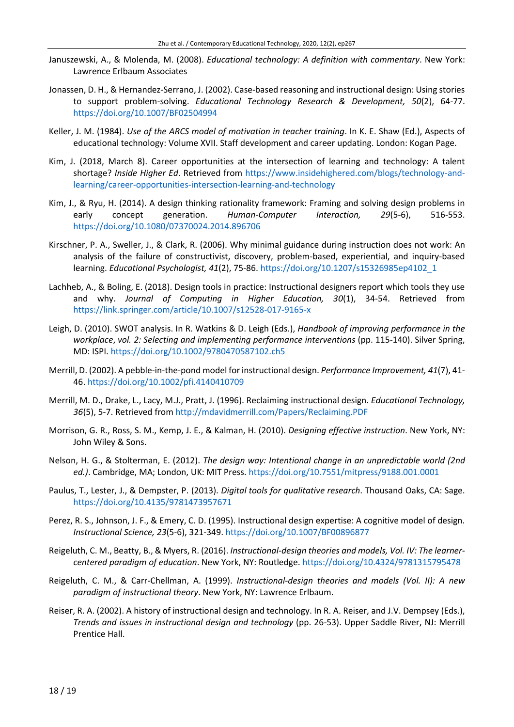- Januszewski, A., & Molenda, M. (2008). *Educational technology: A definition with commentary*. New York: Lawrence Erlbaum Associates
- Jonassen, D. H., & Hernandez-Serrano, J. (2002). Case-based reasoning and instructional design: Using stories to support problem-solving. *Educational Technology Research & Development, 50*(2), 64-77. <https://doi.org/10.1007/BF02504994>
- Keller, J. M. (1984). *Use of the ARCS model of motivation in teacher training*. In K. E. Shaw (Ed.), Aspects of educational technology: Volume XVII. Staff development and career updating. London: Kogan Page.
- Kim, J. (2018, March 8). Career opportunities at the intersection of learning and technology: A talent shortage? *Inside Higher Ed*. Retrieved from [https://www.insidehighered.com/blogs/technology-and](https://www.insidehighered.com/blogs/technology-and-learning/career-opportunities-intersection-learning-and-technology)[learning/career-opportunities-intersection-learning-and-technology](https://www.insidehighered.com/blogs/technology-and-learning/career-opportunities-intersection-learning-and-technology)
- Kim, J., & Ryu, H. (2014). A design thinking rationality framework: Framing and solving design problems in early concept generation. *Human-Computer Interaction, 29*(5-6), 516-553. <https://doi.org/10.1080/07370024.2014.896706>
- Kirschner, P. A., Sweller, J., & Clark, R. (2006). Why minimal guidance during instruction does not work: An analysis of the failure of constructivist, discovery, problem-based, experiential, and inquiry-based learning. *Educational Psychologist, 41*(2), 75-86. [https://doi.org/10.1207/s15326985ep4102\\_1](https://doi.org/10.1207/s15326985ep4102_1)
- Lachheb, A., & Boling, E. (2018). Design tools in practice: Instructional designers report which tools they use and why. *Journal of Computing in Higher Education, 30*(1), 34-54. Retrieved from <https://link.springer.com/article/10.1007/s12528-017-9165-x>
- Leigh, D. (2010). SWOT analysis. In R. Watkins & D. Leigh (Eds.), *Handbook of improving performance in the workplace*, *vol. 2: Selecting and implementing performance interventions* (pp. 115-140). Silver Spring, MD: ISPI. <https://doi.org/10.1002/9780470587102.ch5>
- Merrill, D. (2002). A pebble-in-the-pond model for instructional design. *Performance Improvement, 41*(7), 41- 46. <https://doi.org/10.1002/pfi.4140410709>
- Merrill, M. D., Drake, L., Lacy, M.J., Pratt, J. (1996). Reclaiming instructional design. *Educational Technology, 36*(5), 5-7. Retrieved from <http://mdavidmerrill.com/Papers/Reclaiming.PDF>
- Morrison, G. R., Ross, S. M., Kemp, J. E., & Kalman, H. (2010). *Designing effective instruction*. New York, NY: John Wiley & Sons.
- Nelson, H. G., & Stolterman, E. (2012). *The design way: Intentional change in an unpredictable world (2nd ed.)*. Cambridge, MA; London, UK: MIT Press. <https://doi.org/10.7551/mitpress/9188.001.0001>
- Paulus, T., Lester, J., & Dempster, P. (2013). *Digital tools for qualitative research*. Thousand Oaks, CA: Sage. <https://doi.org/10.4135/9781473957671>
- Perez, R. S., Johnson, J. F., & Emery, C. D. (1995). Instructional design expertise: A cognitive model of design. *Instructional Science, 23*(5-6), 321-349. <https://doi.org/10.1007/BF00896877>
- Reigeluth, C. M., Beatty, B., & Myers, R. (2016). *Instructional-design theories and models, Vol. IV: The learnercentered paradigm of education*. New York, NY: Routledge. <https://doi.org/10.4324/9781315795478>
- Reigeluth, C. M., & Carr-Chellman, A. (1999). *Instructional-design theories and models (Vol. II): A new paradigm of instructional theory*. New York, NY: Lawrence Erlbaum.
- Reiser, R. A. (2002). A history of instructional design and technology. In R. A. Reiser, and J.V. Dempsey (Eds.), *Trends and issues in instructional design and technology* (pp. 26-53). Upper Saddle River, NJ: Merrill Prentice Hall.